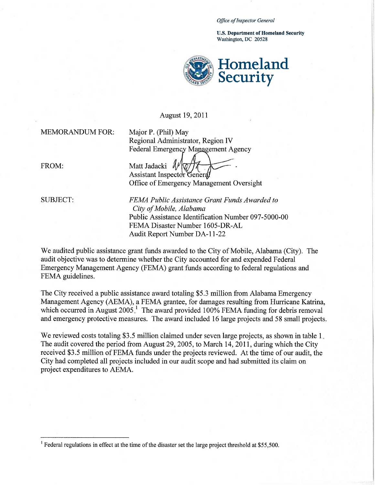*Office a/Inspector General* 

U.S. Department of Homeland Security Washington, DC 20528



## August 19,2011

MEMORANDUM FOR: Major P. (Phil) May

Regional Administrator, Region IV Federal Emergency Management Agency

FROM: Matt Jadacki

И٨ Assistant Inspector General Office of Emergency Management Oversight

SUBJECT: *FEMA Public Assistance Grant Funds Awarded to City ofMobile, Alabama*  Public Assistance Identification Number 097-5000-00 FEMA Disaster Number 1605-DR-AL Audit Report Number DA-11-22

We audited public assistance grant funds awarded to the City of Mobile, Alabama (City). The audit objective was to determine whether the City accounted for and expended Federal Emergency Management Agency (FEMA) grant funds according to federal regulations and FEMA guidelines.

The City received a public assistance award totaling \$5.3 million from Alabama Emergency Management Agency (AEMA), a FEMA grantee, for damages resulting from Hurricane Katrina, which occurred in August  $2005<sup>1</sup>$  The award provided 100% FEMA funding for debris removal and emergency protective measures. The award included 16 large projects and 58 small projects.

We reviewed costs totaling \$3.5 million claimed under seven large projects, as shown in table 1. The audit covered the period from August 29,2005, to March 14,2011, during which the City received \$3.5 million of FEMA funds under the projects reviewed. At the time of our audit, the City had completed all projects included in our audit scope and had submitted its claim on project expenditures to AEMA.

<sup>&</sup>lt;sup>1</sup> Federal regulations in effect at the time of the disaster set the large project threshold at \$55,500.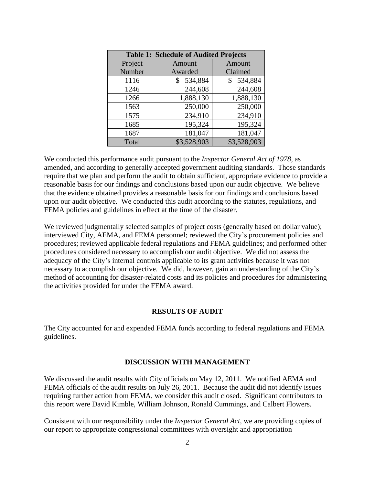| <b>Table 1: Schedule of Audited Projects</b> |               |               |
|----------------------------------------------|---------------|---------------|
| Project                                      | Amount        | Amount        |
| Number                                       | Awarded       | Claimed       |
| 1116                                         | 534,884<br>\$ | 534,884<br>\$ |
| 1246                                         | 244,608       | 244,608       |
| 1266                                         | 1,888,130     | 1,888,130     |
| 1563                                         | 250,000       | 250,000       |
| 1575                                         | 234,910       | 234,910       |
| 1685                                         | 195,324       | 195,324       |
| 1687                                         | 181,047       | 181,047       |
| Total                                        | \$3,528,903   | \$3,528,903   |

 We conducted this performance audit pursuant to the *Inspector General Act of 1978*, as require that we plan and perform the audit to obtain sufficient, appropriate evidence to provide a that the evidence obtained provides a reasonable basis for our findings and conclusions based upon our audit objective. We conducted this audit according to the statutes, regulations, and amended, and according to generally accepted government auditing standards. Those standards reasonable basis for our findings and conclusions based upon our audit objective. We believe FEMA policies and guidelines in effect at the time of the disaster.

We reviewed judgmentally selected samples of project costs (generally based on dollar value); interviewed City, AEMA, and FEMA personnel; reviewed the City's procurement policies and procedures; reviewed applicable federal regulations and FEMA guidelines; and performed other procedures considered necessary to accomplish our audit objective. We did not assess the adequacy of the City's internal controls applicable to its grant activities because it was not necessary to accomplish our objective. We did, however, gain an understanding of the City's method of accounting for disaster-related costs and its policies and procedures for administering the activities provided for under the FEMA award.

## **RESULTS OF AUDIT**

The City accounted for and expended FEMA funds according to federal regulations and FEMA guidelines.

## **DISCUSSION WITH MANAGEMENT**

 We discussed the audit results with City officials on May 12, 2011. We notified AEMA and requiring further action from FEMA, we consider this audit closed. Significant contributors to FEMA officials of the audit results on July 26, 2011. Because the audit did not identify issues this report were David Kimble, William Johnson, Ronald Cummings, and Calbert Flowers.

Consistent with our responsibility under the *Inspector General Act*, we are providing copies of our report to appropriate congressional committees with oversight and appropriation